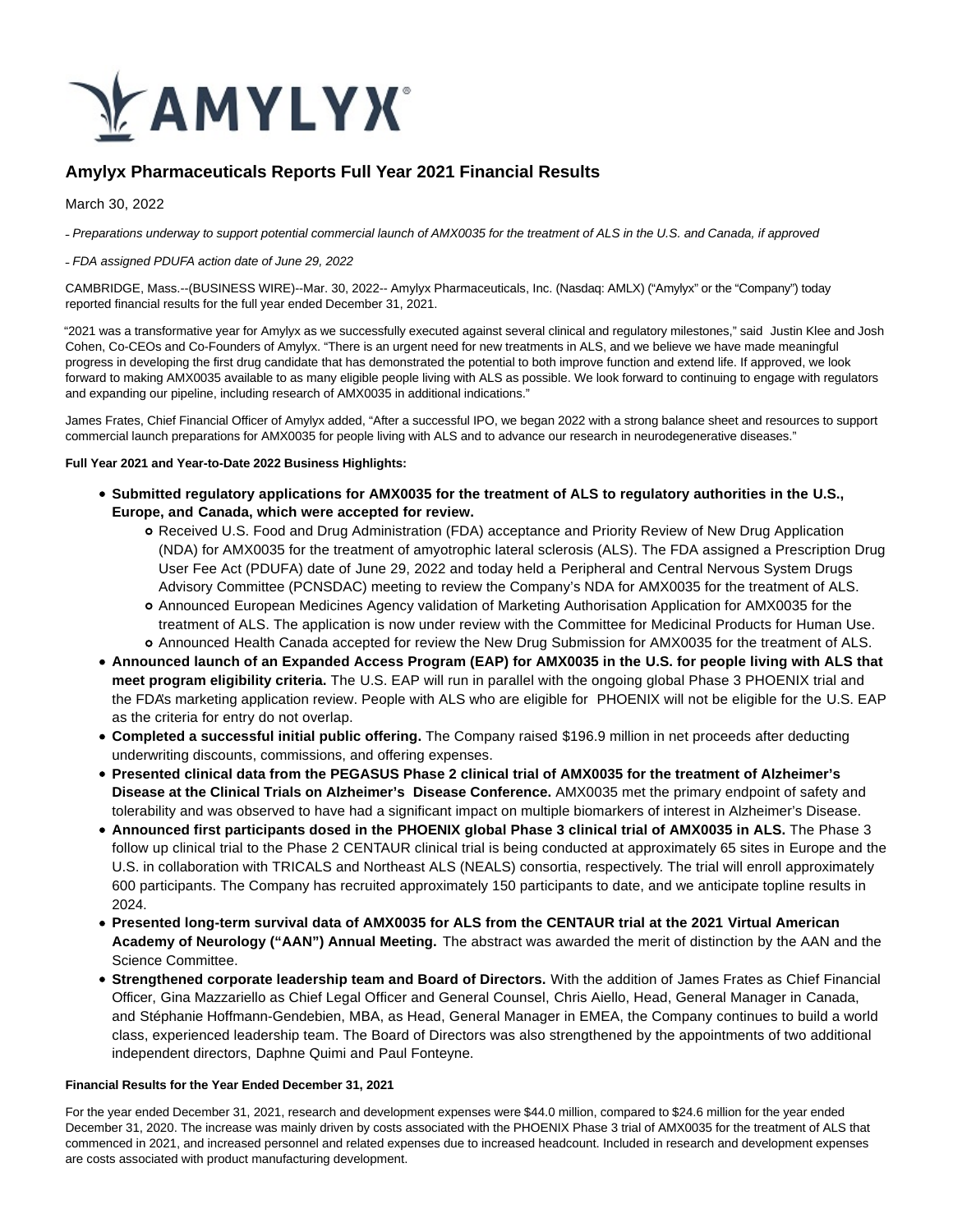

# **Amylyx Pharmaceuticals Reports Full Year 2021 Financial Results**

March 30, 2022

- Preparations underway to support potential commercial launch of AMX0035 for the treatment of ALS in the U.S. and Canada, if approved

#### ˗ FDA assigned PDUFA action date of June 29, 2022

CAMBRIDGE, Mass.--(BUSINESS WIRE)--Mar. 30, 2022-- Amylyx Pharmaceuticals, Inc. (Nasdaq: AMLX) ("Amylyx" or the "Company") today reported financial results for the full year ended December 31, 2021.

"2021 was a transformative year for Amylyx as we successfully executed against several clinical and regulatory milestones," said Justin Klee and Josh Cohen, Co-CEOs and Co-Founders of Amylyx. "There is an urgent need for new treatments in ALS, and we believe we have made meaningful progress in developing the first drug candidate that has demonstrated the potential to both improve function and extend life. If approved, we look forward to making AMX0035 available to as many eligible people living with ALS as possible. We look forward to continuing to engage with regulators and expanding our pipeline, including research of AMX0035 in additional indications."

James Frates, Chief Financial Officer of Amylyx added, "After a successful IPO, we began 2022 with a strong balance sheet and resources to support commercial launch preparations for AMX0035 for people living with ALS and to advance our research in neurodegenerative diseases."

#### **Full Year 2021 and Year-to-Date 2022 Business Highlights:**

- **Submitted regulatory applications for AMX0035 for the treatment of ALS to regulatory authorities in the U.S., Europe, and Canada, which were accepted for review.**
	- Received U.S. Food and Drug Administration (FDA) acceptance and Priority Review of New Drug Application (NDA) for AMX0035 for the treatment of amyotrophic lateral sclerosis (ALS). The FDA assigned a Prescription Drug User Fee Act (PDUFA) date of June 29, 2022 and today held a Peripheral and Central Nervous System Drugs Advisory Committee (PCNSDAC) meeting to review the Company's NDA for AMX0035 for the treatment of ALS.
	- Announced European Medicines Agency validation of Marketing Authorisation Application for AMX0035 for the treatment of ALS. The application is now under review with the Committee for Medicinal Products for Human Use. Announced Health Canada accepted for review the New Drug Submission for AMX0035 for the treatment of ALS.
- **Announced launch of an Expanded Access Program (EAP) for AMX0035 in the U.S. for people living with ALS that meet program eligibility criteria.** The U.S. EAP will run in parallel with the ongoing global Phase 3 PHOENIX trial and the FDA's marketing application review. People with ALS who are eligible for PHOENIX will not be eligible for the U.S. EAP as the criteria for entry do not overlap.
- **Completed a successful initial public offering.** The Company raised \$196.9 million in net proceeds after deducting underwriting discounts, commissions, and offering expenses.
- **Presented clinical data from the PEGASUS Phase 2 clinical trial of AMX0035 for the treatment of Alzheimer's Disease at the Clinical Trials on Alzheimer's Disease Conference.** AMX0035 met the primary endpoint of safety and tolerability and was observed to have had a significant impact on multiple biomarkers of interest in Alzheimer's Disease.
- **Announced first participants dosed in the PHOENIX global Phase 3 clinical trial of AMX0035 in ALS.** The Phase 3 follow up clinical trial to the Phase 2 CENTAUR clinical trial is being conducted at approximately 65 sites in Europe and the U.S. in collaboration with TRICALS and Northeast ALS (NEALS) consortia, respectively. The trial will enroll approximately 600 participants. The Company has recruited approximately 150 participants to date, and we anticipate topline results in 2024.
- **Presented long-term survival data of AMX0035 for ALS from the CENTAUR trial at the 2021 Virtual American Academy of Neurology ("AAN") Annual Meeting.** The abstract was awarded the merit of distinction by the AAN and the Science Committee.
- **Strengthened corporate leadership team and Board of Directors.** With the addition of James Frates as Chief Financial Officer, Gina Mazzariello as Chief Legal Officer and General Counsel, Chris Aiello, Head, General Manager in Canada, and Stéphanie Hoffmann-Gendebien, MBA, as Head, General Manager in EMEA, the Company continues to build a world class, experienced leadership team. The Board of Directors was also strengthened by the appointments of two additional independent directors, Daphne Quimi and Paul Fonteyne.

#### **Financial Results for the Year Ended December 31, 2021**

For the year ended December 31, 2021, research and development expenses were \$44.0 million, compared to \$24.6 million for the year ended December 31, 2020. The increase was mainly driven by costs associated with the PHOENIX Phase 3 trial of AMX0035 for the treatment of ALS that commenced in 2021, and increased personnel and related expenses due to increased headcount. Included in research and development expenses are costs associated with product manufacturing development.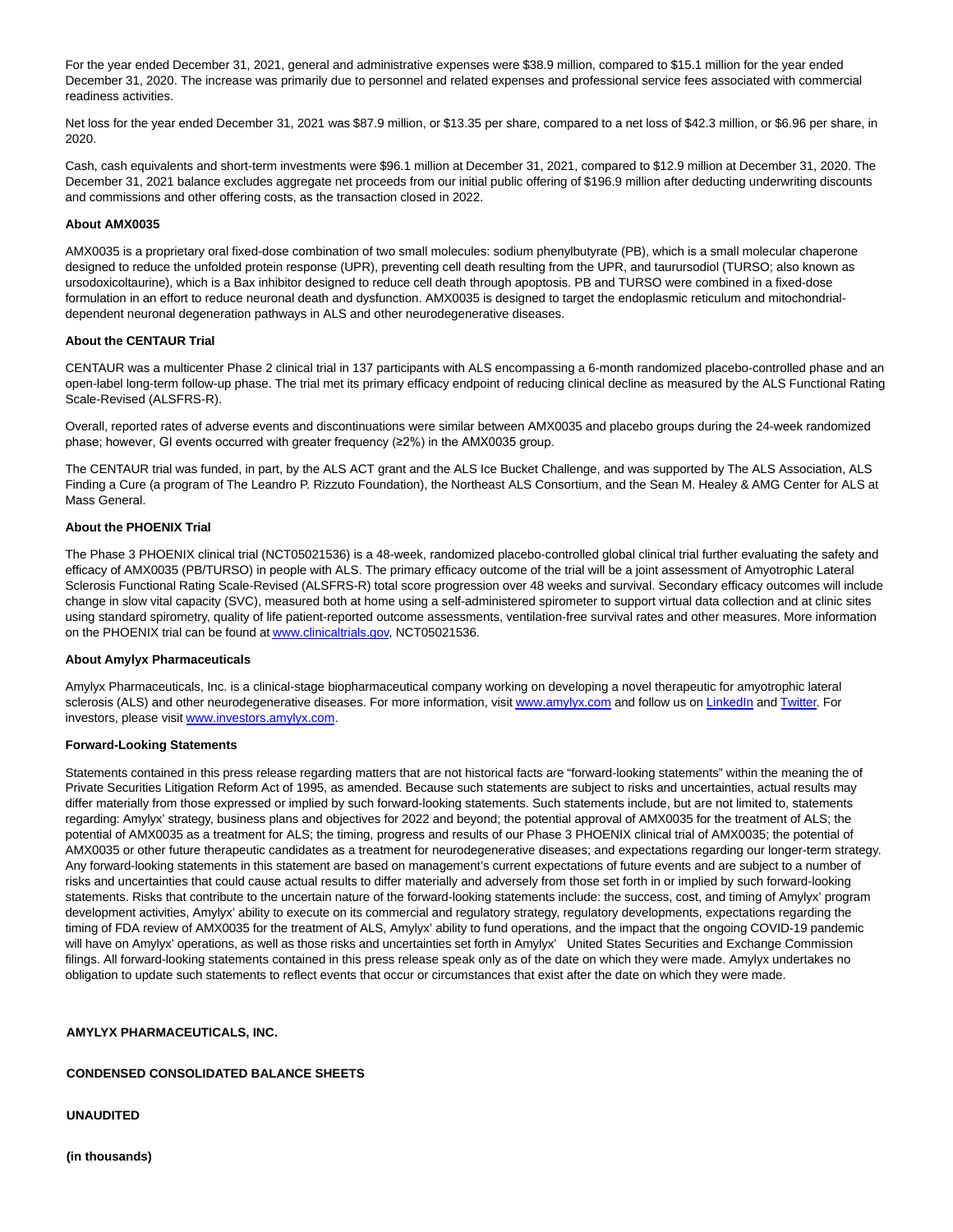For the year ended December 31, 2021, general and administrative expenses were \$38.9 million, compared to \$15.1 million for the year ended December 31, 2020. The increase was primarily due to personnel and related expenses and professional service fees associated with commercial readiness activities.

Net loss for the year ended December 31, 2021 was \$87.9 million, or \$13.35 per share, compared to a net loss of \$42.3 million, or \$6.96 per share, in 2020.

Cash, cash equivalents and short-term investments were \$96.1 million at December 31, 2021, compared to \$12.9 million at December 31, 2020. The December 31, 2021 balance excludes aggregate net proceeds from our initial public offering of \$196.9 million after deducting underwriting discounts and commissions and other offering costs, as the transaction closed in 2022.

#### **About AMX0035**

AMX0035 is a proprietary oral fixed-dose combination of two small molecules: sodium phenylbutyrate (PB), which is a small molecular chaperone designed to reduce the unfolded protein response (UPR), preventing cell death resulting from the UPR, and taurursodiol (TURSO; also known as ursodoxicoltaurine), which is a Bax inhibitor designed to reduce cell death through apoptosis. PB and TURSO were combined in a fixed-dose formulation in an effort to reduce neuronal death and dysfunction. AMX0035 is designed to target the endoplasmic reticulum and mitochondrialdependent neuronal degeneration pathways in ALS and other neurodegenerative diseases.

#### **About the CENTAUR Trial**

CENTAUR was a multicenter Phase 2 clinical trial in 137 participants with ALS encompassing a 6-month randomized placebo-controlled phase and an open-label long-term follow-up phase. The trial met its primary efficacy endpoint of reducing clinical decline as measured by the ALS Functional Rating Scale-Revised (ALSFRS-R).

Overall, reported rates of adverse events and discontinuations were similar between AMX0035 and placebo groups during the 24-week randomized phase; however, GI events occurred with greater frequency (≥2%) in the AMX0035 group.

The CENTAUR trial was funded, in part, by the ALS ACT grant and the ALS Ice Bucket Challenge, and was supported by The ALS Association, ALS Finding a Cure (a program of The Leandro P. Rizzuto Foundation), the Northeast ALS Consortium, and the Sean M. Healey & AMG Center for ALS at Mass General.

#### **About the PHOENIX Trial**

The Phase 3 PHOENIX clinical trial (NCT05021536) is a 48-week, randomized placebo-controlled global clinical trial further evaluating the safety and efficacy of AMX0035 (PB/TURSO) in people with ALS. The primary efficacy outcome of the trial will be a joint assessment of Amyotrophic Lateral Sclerosis Functional Rating Scale-Revised (ALSFRS-R) total score progression over 48 weeks and survival. Secondary efficacy outcomes will include change in slow vital capacity (SVC), measured both at home using a self-administered spirometer to support virtual data collection and at clinic sites using standard spirometry, quality of life patient-reported outcome assessments, ventilation-free survival rates and other measures. More information on the PHOENIX trial can be found a[t www.clinicaltrials.gov,](https://cts.businesswire.com/ct/CT?id=smartlink&url=http%3A%2F%2Fwww.clinicaltrials.gov&esheet=52635142&newsitemid=20220330005922&lan=en-US&anchor=www.clinicaltrials.gov&index=1&md5=8897e42cc21af9a54216373e8a13c043) NCT05021536.

#### **About Amylyx Pharmaceuticals**

Amylyx Pharmaceuticals, Inc. is a clinical-stage biopharmaceutical company working on developing a novel therapeutic for amyotrophic lateral sclerosis (ALS) and other neurodegenerative diseases. For more information, visi[t www.amylyx.com a](https://cts.businesswire.com/ct/CT?id=smartlink&url=https%3A%2F%2Fwww.amylyx.com%2F&esheet=52635142&newsitemid=20220330005922&lan=en-US&anchor=www.amylyx.com&index=2&md5=3945e370ea8c95a5a3c85c5852653942)nd follow us o[n LinkedIn a](https://cts.businesswire.com/ct/CT?id=smartlink&url=https%3A%2F%2Fwww.linkedin.com%2Fcompany%2Famylyx&esheet=52635142&newsitemid=20220330005922&lan=en-US&anchor=LinkedIn&index=3&md5=c6af0c9442dfa85e04ab887161d9afbf)nd [Twitter.](https://cts.businesswire.com/ct/CT?id=smartlink&url=https%3A%2F%2Ftwitter.com%2FAmylyxPharma&esheet=52635142&newsitemid=20220330005922&lan=en-US&anchor=Twitter&index=4&md5=f77034d35477ca55a79b329ff07c3e16) For investors, please visit [www.investors.amylyx.com.](https://cts.businesswire.com/ct/CT?id=smartlink&url=https%3A%2F%2Finvestors.amylyx.com%2F&esheet=52635142&newsitemid=20220330005922&lan=en-US&anchor=www.investors.amylyx.com&index=5&md5=2adf8c58d65f04a47ef308112e016886)

#### **Forward-Looking Statements**

Statements contained in this press release regarding matters that are not historical facts are "forward-looking statements" within the meaning the of Private Securities Litigation Reform Act of 1995, as amended. Because such statements are subject to risks and uncertainties, actual results may differ materially from those expressed or implied by such forward-looking statements. Such statements include, but are not limited to, statements regarding: Amylyx' strategy, business plans and objectives for 2022 and beyond; the potential approval of AMX0035 for the treatment of ALS; the potential of AMX0035 as a treatment for ALS; the timing, progress and results of our Phase 3 PHOENIX clinical trial of AMX0035; the potential of AMX0035 or other future therapeutic candidates as a treatment for neurodegenerative diseases; and expectations regarding our longer-term strategy. Any forward-looking statements in this statement are based on management's current expectations of future events and are subject to a number of risks and uncertainties that could cause actual results to differ materially and adversely from those set forth in or implied by such forward-looking statements. Risks that contribute to the uncertain nature of the forward-looking statements include: the success, cost, and timing of Amylyx' program development activities, Amylyx' ability to execute on its commercial and regulatory strategy, regulatory developments, expectations regarding the timing of FDA review of AMX0035 for the treatment of ALS, Amylyx' ability to fund operations, and the impact that the ongoing COVID-19 pandemic will have on Amylyx' operations, as well as those risks and uncertainties set forth in Amylyx' United States Securities and Exchange Commission filings. All forward-looking statements contained in this press release speak only as of the date on which they were made. Amylyx undertakes no obligation to update such statements to reflect events that occur or circumstances that exist after the date on which they were made.

#### **AMYLYX PHARMACEUTICALS, INC.**

#### **CONDENSED CONSOLIDATED BALANCE SHEETS**

**UNAUDITED**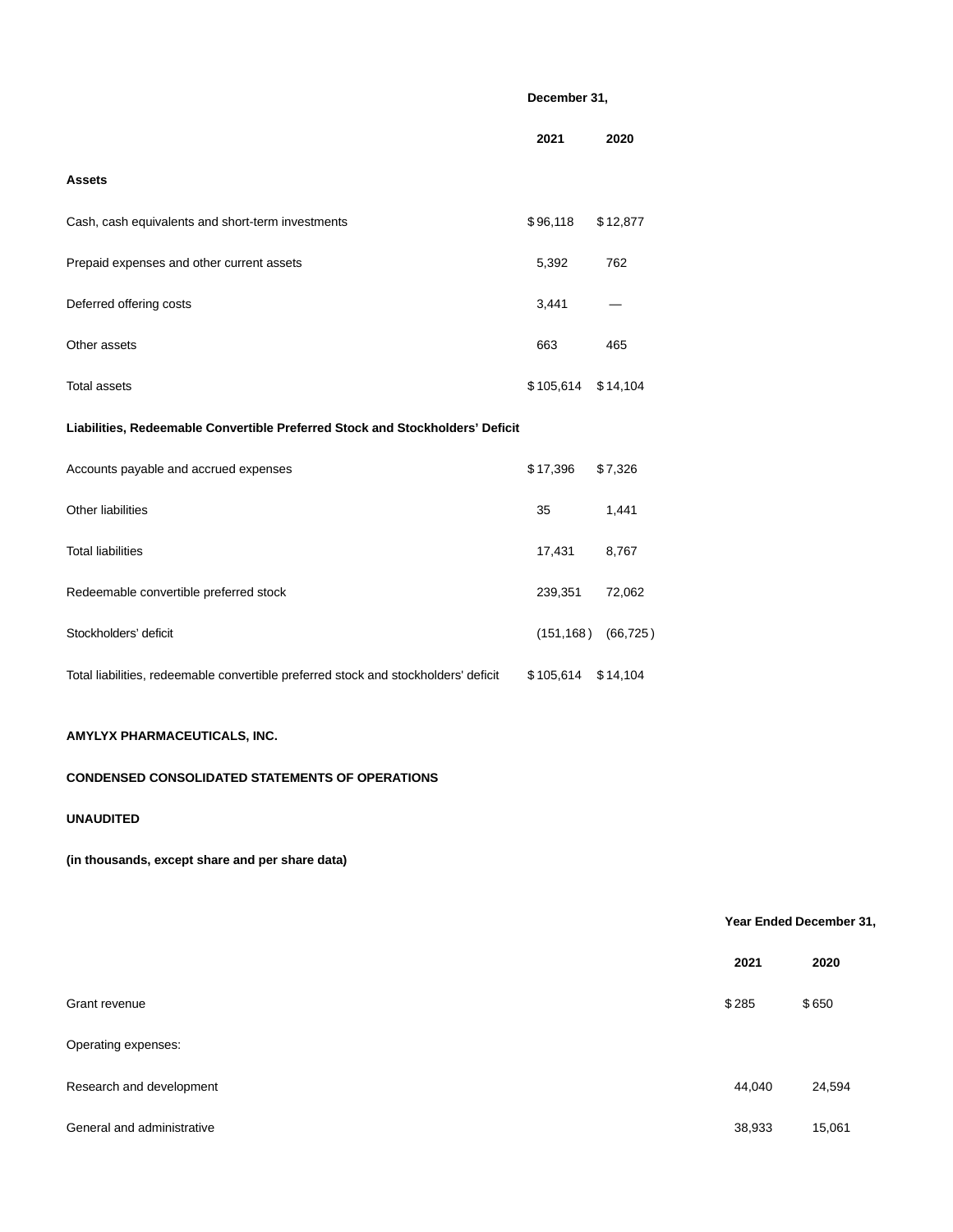## **December 31,**

|                                                                                     | 2021      | 2020                     |
|-------------------------------------------------------------------------------------|-----------|--------------------------|
| Assets                                                                              |           |                          |
| Cash, cash equivalents and short-term investments                                   | \$96,118  | \$12,877                 |
| Prepaid expenses and other current assets                                           | 5,392     | 762                      |
| Deferred offering costs                                                             | 3,441     |                          |
| Other assets                                                                        | 663       | 465                      |
| <b>Total assets</b>                                                                 | \$105,614 | \$14,104                 |
| Liabilities, Redeemable Convertible Preferred Stock and Stockholders' Deficit       |           |                          |
| Accounts payable and accrued expenses                                               | \$17,396  | \$7,326                  |
| Other liabilities                                                                   | 35        | 1,441                    |
| <b>Total liabilities</b>                                                            | 17,431    | 8,767                    |
| Redeemable convertible preferred stock                                              | 239,351   | 72,062                   |
| Stockholders' deficit                                                               |           | $(151, 168)$ $(66, 725)$ |
| Total liabilities, redeemable convertible preferred stock and stockholders' deficit | \$105,614 | \$14,104                 |

## **AMYLYX PHARMACEUTICALS, INC.**

## **CONDENSED CONSOLIDATED STATEMENTS OF OPERATIONS**

## **UNAUDITED**

## **(in thousands, except share and per share data)**

## **Year Ended December 31,**

|                            | 2021   | 2020   |
|----------------------------|--------|--------|
| Grant revenue              | \$285  | \$650  |
| Operating expenses:        |        |        |
| Research and development   | 44,040 | 24,594 |
| General and administrative | 38,933 | 15,061 |